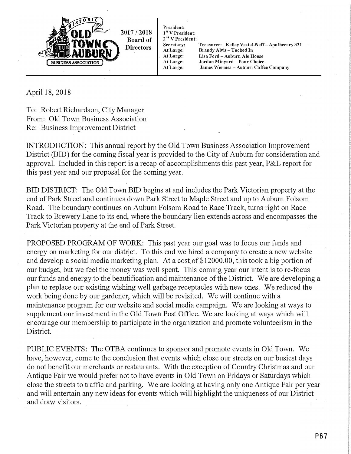

April 18, 2018

To: Robert Richardson, City Manager From: Old Town Business Association Re: Business Improvement District

INTRODUCTION: This annual report by the Old Town Business Association Improvement District (BID) for the coming fiscal year is provided to the City of Auburn for consideration and approval. Included in this report is a recap of accomplishments this past year, P&L report for this past year and our proposal for the coming year.

BID DISTRICT: The Old Town BID begins at and includes the Park Victorian property at the end of Park Street and continues down Park Street to Maple Street and up to Auburn Folsom Road. The boundary continues on Auburn Folsom Road to Race Track, turns right on Race Track to Brewery Lane to its end, where the boundary lien extends across and encompasses the Park Victorian property at the end of Park Street.

PROPOSED PROGRAM OF WORK: This past year our goal was to focus our funds and energy on marketing for our district. To this end we hired a company to create a new website and develop a social media marketing plan. At a cost of \$12000.00, this took a big portion of our budget, but we feel the money was well spent. This coming year our intent is to re-focus our funds and energy to the beautification and maintenance of the District. We are developing a plan to replace our existing wishing well garbage receptacles with new ories. We reduced the work being done by our gardener, which will be revisited. We will continue with a maintenance program for our website and social media campaign. We are looking at ways to supplement our investment in the Old Town Post Office. We are looking at ways which will encourage our membership to participate in the organization and promote volunteerism in the District.

PUBLIC EVENTS: The OTBA continues to sponsor and promote events in Old Town. We have, however, come to the conclusion that events which close our streets on our busiest days do not benefit our merchants or restaurants. With the exception of Country Christmas and our Antique Fair we would prefer not to have events in Old Town on Fridays or Saturdays which close the streets to traffic and parking. We are looking at having only one Antique Fair per year and will entertain any new ideas for events which will highlight the uniqueness of our District and draw visitors.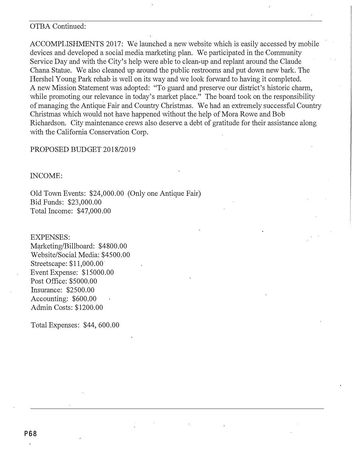## OTBA Continued:

ACCOMPLISHMENTS 2017: We launched a new website which is easily accessed by mobile devices and developed a social media marketing plan. We participated in the Community Service Day and with the City's help were able to clean-up and replant around the Claude Chana Statue. We also cleaned up around the public restrooms and put down new bark. The Hershel Young Park rehab is well on its way and we look forward to having it completed. A new Mission Statement was adopted: "To guard and preserve our district's historic charm, while promoting our relevance in today's market place." The board took on the responsibility of managing the Antique Fair and Country Christmas. We had an extremely successful Country Christmas which would not have happened without the help of Mora Rowe and Bob Richardson. City maintenance crews also deserve a debt of gratitude for their assistance along with the California Conservation Corp.

## PROPOSED BUDGET 2018/2019

INCOME:

Old Town Events: \$24,000.00 (Only one Antique Fair) Bid Funds: \$23,000.00 Total Income: \$47,000.00

EXPENSES: Marketing/Billboard: \$4800.00 Website/Social Media: \$4500.00 Streetscape: \$11,000.00 Event Expense: \$15000.00 Post Office: \$5000.00 Insurance: \$2500.00 Accounting: \$600.00 Admin Costs: \$1200.00

Total Expenses: \$44, 600.00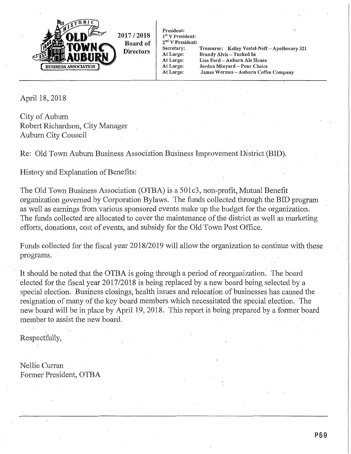

President:  $1<sup>st</sup> V$  President: 2<sup>nd</sup> V President: Secretary: At Large: At Large:

At Large:

At Large:

Treasurer: Kelley Vestal-Neff-Apothecary 321 Brandy Alvis - Tucked In Lisa Ford - Auburn Ale House Jordan Minyard - Pour Choice James Wermes - Auburn Coffee Company

April 18, 2018

City of Auburn Robert Richardson, City Manager Auburn City Council

Re: Old Town Auburn Business Association Business Improvement District (BID).

History and Explanation of Benefits:

The Old Town Business Association (OTBA) is a 501c3, non-profit, Mutual Benefit organization governed by Corporation Bylaws. The funds collected through the BID program as well as earnings from various sponsored events make up the budget for the organization. The funds collected are allocated to cover the maintenance of the district as well as marketing efforts, donations, cost of events, and subsidy for the Old Town Post Office.

Funds collected for the fiscal year 2018/2019 will allow the organization to continue with these programs.

It should be noted that the OTBA is going through a period of reorganization. The board elected for the fiscal year 2017/2018 is being replaced by a new board being selected by a special election. Business closings, health issues and relocation of businesses has caused the resignation of many of the key board members which necessitated the special election. The new board will be in place by April 19, 2018. This report is being prepared by a former board member to assist the new board.

Respectfully,

Nellie Curran Former President, OTBA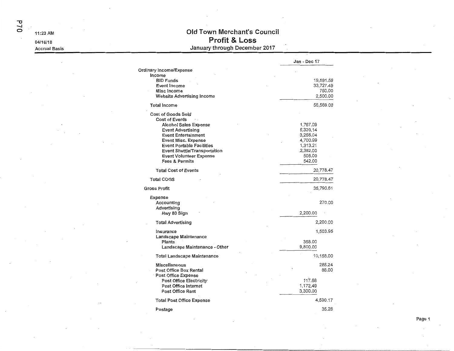$D1d$ 

11:23 AM

04/16/18

**Accrual Basis** 

## Old Town Merchant's Council **Profit & Loss** January through December 2017

|                                                                                                                                                                                                                                                                                                 | Jan - Dec 17                                                                              |
|-------------------------------------------------------------------------------------------------------------------------------------------------------------------------------------------------------------------------------------------------------------------------------------------------|-------------------------------------------------------------------------------------------|
| Ordinary Income/Expense                                                                                                                                                                                                                                                                         |                                                                                           |
| Income<br><b>BID Funds</b><br>Event Income<br>Misc Income<br>Website Advertising Income                                                                                                                                                                                                         | 19,591.59<br>33,727.49<br>750.00<br>2,500.00                                              |
| <b>Total Income</b>                                                                                                                                                                                                                                                                             | 56,569.08                                                                                 |
| Cost of Goods Sold<br>Cost of Events<br><b>Alcohol Sales Expense</b><br><b>Event Advertising</b><br><b>Event Entertainment</b><br><b>Event Misc, Expense</b><br><b>Event Portable Facilities</b><br>Event Shuttle/Transportation<br><b>Event Volunteer Expense</b><br><b>Fees &amp; Permits</b> | 1,767.09<br>6,339.14<br>3,256.04<br>4,700.99<br>1,313.21<br>.2,352.00<br>508.00<br>542.00 |
| <b>Total Cost of Events</b>                                                                                                                                                                                                                                                                     | 20,778.47                                                                                 |
| <b>Total COGS</b>                                                                                                                                                                                                                                                                               | 20,778.47                                                                                 |
| <b>Gross Profit</b>                                                                                                                                                                                                                                                                             | 35,790.61                                                                                 |
| Expense<br>Accounting<br>Advertising<br>Hwy 80 Sign                                                                                                                                                                                                                                             | 270.00<br>2,200.00                                                                        |
| <b>Total Advertising</b>                                                                                                                                                                                                                                                                        | 2,200.00                                                                                  |
| Insurance<br>Landscape Maintenance<br>Plants<br>Landscape Maintenance - Other                                                                                                                                                                                                                   | 1,503.95<br>358.00<br>9,800.00                                                            |
| Total Landscape Maintenance                                                                                                                                                                                                                                                                     | 10,158.00                                                                                 |
| <b>Miscellaneous</b><br>Post Office Box Rental<br>Post Office Expense<br>Post Office Electricity<br>Post Office Internet<br>Post Office Rent                                                                                                                                                    | 288.24<br>88.00<br>117.68<br>1,172.49<br>3,300.00                                         |
| <b>Total Post Office Expense</b>                                                                                                                                                                                                                                                                | 4,590.17                                                                                  |
| Postage                                                                                                                                                                                                                                                                                         | 35.28                                                                                     |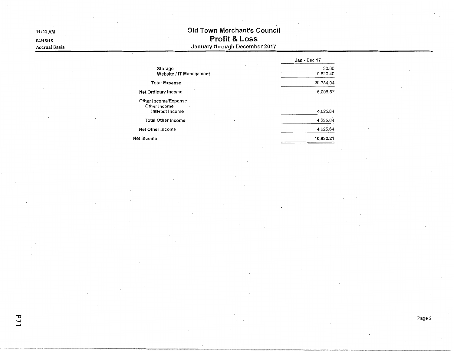## Old Town Merchant's Council **Profit & Loss**<br>January through December 2017

|                                                         | Jan - Dec 17       |
|---------------------------------------------------------|--------------------|
| Storage<br>Website / IT Management                      | 30.00<br>10,620.40 |
| <b>Total Expense</b>                                    | 29,784.04          |
| Net Ordinary Income                                     | 6,006.57           |
| Other Income/Expense<br>Other Income<br>Interest Income | 4,625.64           |
| <b>Total Other Income</b>                               | 4,625.64           |
| Net Other Income                                        | 4,625.64           |
| Net Income                                              | 10,632.21          |
|                                                         |                    |

11:23 AM

04/16/18 **Accrual Basis**